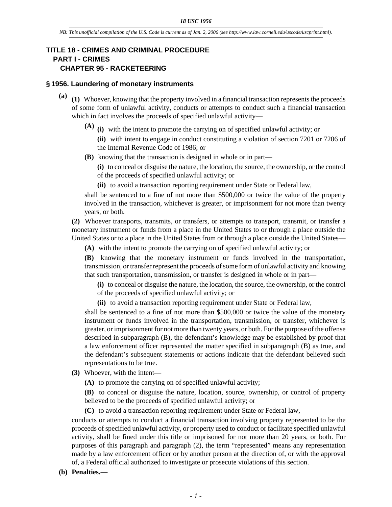# **TITLE 18 - CRIMES AND CRIMINAL PROCEDURE PART I - CRIMES CHAPTER 95 - RACKETEERING**

### **§ 1956. Laundering of monetary instruments**

- **(a) (1)** Whoever, knowing that the property involved in a financial transaction represents the proceeds of some form of unlawful activity, conducts or attempts to conduct such a financial transaction which in fact involves the proceeds of specified unlawful activity—
	- **(A) (i)** with the intent to promote the carrying on of specified unlawful activity; or
		- **(ii)** with intent to engage in conduct constituting a violation of section 7201 or 7206 of the Internal Revenue Code of 1986; or
	- **(B)** knowing that the transaction is designed in whole or in part—

**(i)** to conceal or disguise the nature, the location, the source, the ownership, or the control of the proceeds of specified unlawful activity; or

**(ii)** to avoid a transaction reporting requirement under State or Federal law,

shall be sentenced to a fine of not more than \$500,000 or twice the value of the property involved in the transaction, whichever is greater, or imprisonment for not more than twenty years, or both.

**(2)** Whoever transports, transmits, or transfers, or attempts to transport, transmit, or transfer a monetary instrument or funds from a place in the United States to or through a place outside the United States or to a place in the United States from or through a place outside the United States—

**(A)** with the intent to promote the carrying on of specified unlawful activity; or

**(B)** knowing that the monetary instrument or funds involved in the transportation, transmission, or transfer represent the proceeds of some form of unlawful activity and knowing that such transportation, transmission, or transfer is designed in whole or in part—

**(i)** to conceal or disguise the nature, the location, the source, the ownership, or the control of the proceeds of specified unlawful activity; or

**(ii)** to avoid a transaction reporting requirement under State or Federal law,

shall be sentenced to a fine of not more than \$500,000 or twice the value of the monetary instrument or funds involved in the transportation, transmission, or transfer, whichever is greater, or imprisonment for not more than twenty years, or both. For the purpose of the offense described in subparagraph (B), the defendant's knowledge may be established by proof that a law enforcement officer represented the matter specified in subparagraph (B) as true, and the defendant's subsequent statements or actions indicate that the defendant believed such representations to be true.

- **(3)** Whoever, with the intent—
	- **(A)** to promote the carrying on of specified unlawful activity;

**(B)** to conceal or disguise the nature, location, source, ownership, or control of property believed to be the proceeds of specified unlawful activity; or

**(C)** to avoid a transaction reporting requirement under State or Federal law,

conducts or attempts to conduct a financial transaction involving property represented to be the proceeds of specified unlawful activity, or property used to conduct or facilitate specified unlawful activity, shall be fined under this title or imprisoned for not more than 20 years, or both. For purposes of this paragraph and paragraph (2), the term "represented" means any representation made by a law enforcement officer or by another person at the direction of, or with the approval of, a Federal official authorized to investigate or prosecute violations of this section.

**(b) Penalties.—**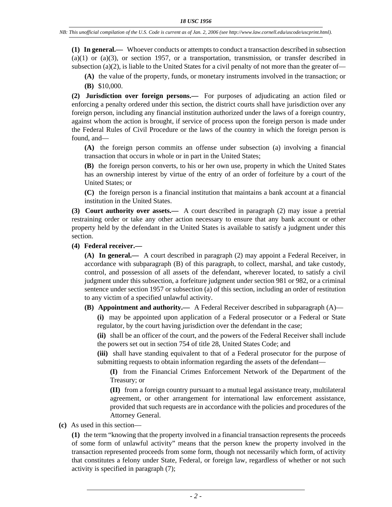**(1) In general.—** Whoever conducts or attempts to conduct a transaction described in subsection  $(a)(1)$  or  $(a)(3)$ , or section 1957, or a transportation, transmission, or transfer described in subsection (a)(2), is liable to the United States for a civil penalty of not more than the greater of—

**(A)** the value of the property, funds, or monetary instruments involved in the transaction; or **(B)** \$10,000.

**(2) Jurisdiction over foreign persons.—** For purposes of adjudicating an action filed or enforcing a penalty ordered under this section, the district courts shall have jurisdiction over any foreign person, including any financial institution authorized under the laws of a foreign country, against whom the action is brought, if service of process upon the foreign person is made under the Federal Rules of Civil Procedure or the laws of the country in which the foreign person is found, and—

**(A)** the foreign person commits an offense under subsection (a) involving a financial transaction that occurs in whole or in part in the United States;

**(B)** the foreign person converts, to his or her own use, property in which the United States has an ownership interest by virtue of the entry of an order of forfeiture by a court of the United States; or

**(C)** the foreign person is a financial institution that maintains a bank account at a financial institution in the United States.

**(3) Court authority over assets.—** A court described in paragraph (2) may issue a pretrial restraining order or take any other action necessary to ensure that any bank account or other property held by the defendant in the United States is available to satisfy a judgment under this section.

## **(4) Federal receiver.—**

**(A) In general.—** A court described in paragraph (2) may appoint a Federal Receiver, in accordance with subparagraph (B) of this paragraph, to collect, marshal, and take custody, control, and possession of all assets of the defendant, wherever located, to satisfy a civil judgment under this subsection, a forfeiture judgment under section 981 or 982, or a criminal sentence under section 1957 or subsection (a) of this section, including an order of restitution to any victim of a specified unlawful activity.

**(B) Appointment and authority.—** A Federal Receiver described in subparagraph (A)—

**(i)** may be appointed upon application of a Federal prosecutor or a Federal or State regulator, by the court having jurisdiction over the defendant in the case;

**(ii)** shall be an officer of the court, and the powers of the Federal Receiver shall include the powers set out in section 754 of title 28, United States Code; and

**(iii)** shall have standing equivalent to that of a Federal prosecutor for the purpose of submitting requests to obtain information regarding the assets of the defendant—

**(I)** from the Financial Crimes Enforcement Network of the Department of the Treasury; or

**(II)** from a foreign country pursuant to a mutual legal assistance treaty, multilateral agreement, or other arrangement for international law enforcement assistance, provided that such requests are in accordance with the policies and procedures of the Attorney General.

# **(c)** As used in this section—

**(1)** the term "knowing that the property involved in a financial transaction represents the proceeds of some form of unlawful activity" means that the person knew the property involved in the transaction represented proceeds from some form, though not necessarily which form, of activity that constitutes a felony under State, Federal, or foreign law, regardless of whether or not such activity is specified in paragraph (7);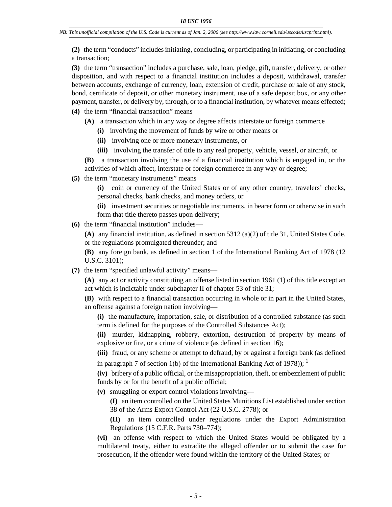**(2)** the term "conducts" includes initiating, concluding, or participating in initiating, or concluding a transaction;

**(3)** the term "transaction" includes a purchase, sale, loan, pledge, gift, transfer, delivery, or other disposition, and with respect to a financial institution includes a deposit, withdrawal, transfer between accounts, exchange of currency, loan, extension of credit, purchase or sale of any stock, bond, certificate of deposit, or other monetary instrument, use of a safe deposit box, or any other payment, transfer, or delivery by, through, or to a financial institution, by whatever means effected;

- **(4)** the term "financial transaction" means
	- **(A)** a transaction which in any way or degree affects interstate or foreign commerce
		- **(i)** involving the movement of funds by wire or other means or
		- **(ii)** involving one or more monetary instruments, or
		- **(iii)** involving the transfer of title to any real property, vehicle, vessel, or aircraft, or
	- **(B)** a transaction involving the use of a financial institution which is engaged in, or the activities of which affect, interstate or foreign commerce in any way or degree;
- **(5)** the term "monetary instruments" means
	- **(i)** coin or currency of the United States or of any other country, travelers' checks, personal checks, bank checks, and money orders, or
	- **(ii)** investment securities or negotiable instruments, in bearer form or otherwise in such form that title thereto passes upon delivery;
- **(6)** the term "financial institution" includes—

**(A)** any financial institution, as defined in section 5312 (a)(2) of title 31, United States Code, or the regulations promulgated thereunder; and

**(B)** any foreign bank, as defined in section 1 of the International Banking Act of 1978 (12 U.S.C. 3101);

**(7)** the term "specified unlawful activity" means—

**(A)** any act or activity constituting an offense listed in section 1961 (1) of this title except an act which is indictable under subchapter II of chapter 53 of title 31;

**(B)** with respect to a financial transaction occurring in whole or in part in the United States, an offense against a foreign nation involving—

**(i)** the manufacture, importation, sale, or distribution of a controlled substance (as such term is defined for the purposes of the Controlled Substances Act);

**(ii)** murder, kidnapping, robbery, extortion, destruction of property by means of explosive or fire, or a crime of violence (as defined in section 16);

**(iii)** fraud, or any scheme or attempt to defraud, by or against a foreign bank (as defined

in paragraph 7 of section 1(b) of the International Banking Act of 1978));  $^1$ 

**(iv)** bribery of a public official, or the misappropriation, theft, or embezzlement of public funds by or for the benefit of a public official;

**(v)** smuggling or export control violations involving—

**(I)** an item controlled on the United States Munitions List established under section 38 of the Arms Export Control Act (22 U.S.C. 2778); or

**(II)** an item controlled under regulations under the Export Administration Regulations (15 C.F.R. Parts 730–774);

**(vi)** an offense with respect to which the United States would be obligated by a multilateral treaty, either to extradite the alleged offender or to submit the case for prosecution, if the offender were found within the territory of the United States; or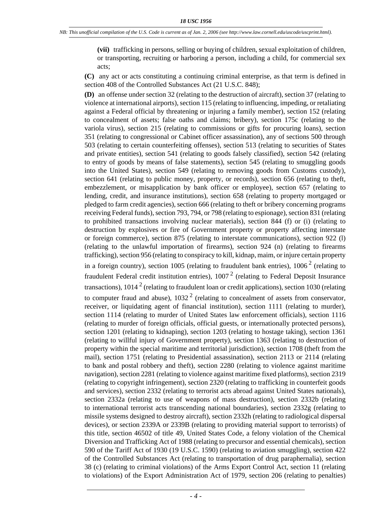**(vii)** trafficking in persons, selling or buying of children, sexual exploitation of children, or transporting, recruiting or harboring a person, including a child, for commercial sex acts;

**(C)** any act or acts constituting a continuing criminal enterprise, as that term is defined in section 408 of the Controlled Substances Act (21 U.S.C. 848);

**(D)** an offense under section 32 (relating to the destruction of aircraft), section 37 (relating to violence at international airports), section 115 (relating to influencing, impeding, or retaliating against a Federal official by threatening or injuring a family member), section 152 (relating to concealment of assets; false oaths and claims; bribery), section 175c (relating to the variola virus), section 215 (relating to commissions or gifts for procuring loans), section 351 (relating to congressional or Cabinet officer assassination), any of sections 500 through 503 (relating to certain counterfeiting offenses), section 513 (relating to securities of States and private entities), section 541 (relating to goods falsely classified), section 542 (relating to entry of goods by means of false statements), section 545 (relating to smuggling goods into the United States), section 549 (relating to removing goods from Customs custody), section 641 (relating to public money, property, or records), section 656 (relating to theft, embezzlement, or misapplication by bank officer or employee), section 657 (relating to lending, credit, and insurance institutions), section 658 (relating to property mortgaged or pledged to farm credit agencies), section 666 (relating to theft or bribery concerning programs receiving Federal funds), section 793, 794, or 798 (relating to espionage), section 831 (relating to prohibited transactions involving nuclear materials), section 844 (f) or (i) (relating to destruction by explosives or fire of Government property or property affecting interstate or foreign commerce), section 875 (relating to interstate communications), section 922 (l) (relating to the unlawful importation of firearms), section 924 (n) (relating to firearms trafficking), section 956 (relating to conspiracy to kill, kidnap, maim, or injure certain property in a foreign country), section 1005 (relating to fraudulent bank entries),  $1006<sup>2</sup>$  (relating to fraudulent Federal credit institution entries),  $1007<sup>2</sup>$  (relating to Federal Deposit Insurance transactions), 1014<sup>2</sup> (relating to fraudulent loan or credit applications), section 1030 (relating to computer fraud and abuse),  $1032<sup>2</sup>$  (relating to concealment of assets from conservator, receiver, or liquidating agent of financial institution), section 1111 (relating to murder), section 1114 (relating to murder of United States law enforcement officials), section 1116 (relating to murder of foreign officials, official guests, or internationally protected persons), section 1201 (relating to kidnaping), section 1203 (relating to hostage taking), section 1361 (relating to willful injury of Government property), section 1363 (relating to destruction of property within the special maritime and territorial jurisdiction), section 1708 (theft from the mail), section 1751 (relating to Presidential assassination), section 2113 or 2114 (relating to bank and postal robbery and theft), section 2280 (relating to violence against maritime navigation), section 2281 (relating to violence against maritime fixed platforms), section 2319 (relating to copyright infringement), section 2320 (relating to trafficking in counterfeit goods and services), section 2332 (relating to terrorist acts abroad against United States nationals), section 2332a (relating to use of weapons of mass destruction), section 2332b (relating to international terrorist acts transcending national boundaries), section 2332g (relating to missile systems designed to destroy aircraft), section 2332h (relating to radiological dispersal devices), or section 2339A or 2339B (relating to providing material support to terrorists) of this title, section 46502 of title 49, United States Code, a felony violation of the Chemical Diversion and Trafficking Act of 1988 (relating to precursor and essential chemicals), section 590 of the Tariff Act of 1930 (19 U.S.C. 1590) (relating to aviation smuggling), section 422 of the Controlled Substances Act (relating to transportation of drug paraphernalia), section 38 (c) (relating to criminal violations) of the Arms Export Control Act, section 11 (relating to violations) of the Export Administration Act of 1979, section 206 (relating to penalties)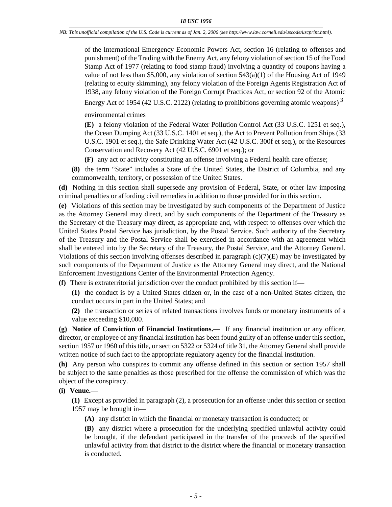of the International Emergency Economic Powers Act, section 16 (relating to offenses and punishment) of the Trading with the Enemy Act, any felony violation of section 15 of the Food Stamp Act of 1977 (relating to food stamp fraud) involving a quantity of coupons having a value of not less than \$5,000, any violation of section  $543(a)(1)$  of the Housing Act of 1949 (relating to equity skimming), any felony violation of the Foreign Agents Registration Act of 1938, any felony violation of the Foreign Corrupt Practices Act, or section 92 of the Atomic

Energy Act of 1954 (42 U.S.C. 2122) (relating to prohibitions governing atomic weapons)<sup>3</sup>

environmental crimes

**(E)** a felony violation of the Federal Water Pollution Control Act (33 U.S.C. 1251 et seq.), the Ocean Dumping Act (33 U.S.C. 1401 et seq.), the Act to Prevent Pollution from Ships (33 U.S.C. 1901 et seq.), the Safe Drinking Water Act (42 U.S.C. 300f et seq.), or the Resources Conservation and Recovery Act (42 U.S.C. 6901 et seq.); or

**(F)** any act or activity constituting an offense involving a Federal health care offense;

**(8)** the term "State" includes a State of the United States, the District of Columbia, and any commonwealth, territory, or possession of the United States.

**(d)** Nothing in this section shall supersede any provision of Federal, State, or other law imposing criminal penalties or affording civil remedies in addition to those provided for in this section.

**(e)** Violations of this section may be investigated by such components of the Department of Justice as the Attorney General may direct, and by such components of the Department of the Treasury as the Secretary of the Treasury may direct, as appropriate and, with respect to offenses over which the United States Postal Service has jurisdiction, by the Postal Service. Such authority of the Secretary of the Treasury and the Postal Service shall be exercised in accordance with an agreement which shall be entered into by the Secretary of the Treasury, the Postal Service, and the Attorney General. Violations of this section involving offenses described in paragraph  $(c)(7)(E)$  may be investigated by such components of the Department of Justice as the Attorney General may direct, and the National Enforcement Investigations Center of the Environmental Protection Agency.

**(f)** There is extraterritorial jurisdiction over the conduct prohibited by this section if—

**(1)** the conduct is by a United States citizen or, in the case of a non-United States citizen, the conduct occurs in part in the United States; and

**(2)** the transaction or series of related transactions involves funds or monetary instruments of a value exceeding \$10,000.

**(g) Notice of Conviction of Financial Institutions.—** If any financial institution or any officer, director, or employee of any financial institution has been found guilty of an offense under this section, section 1957 or 1960 of this title, or section 5322 or 5324 of title 31, the Attorney General shall provide written notice of such fact to the appropriate regulatory agency for the financial institution.

**(h)** Any person who conspires to commit any offense defined in this section or section 1957 shall be subject to the same penalties as those prescribed for the offense the commission of which was the object of the conspiracy.

**(i) Venue.—**

**(1)** Except as provided in paragraph (2), a prosecution for an offense under this section or section 1957 may be brought in—

**(A)** any district in which the financial or monetary transaction is conducted; or

**(B)** any district where a prosecution for the underlying specified unlawful activity could be brought, if the defendant participated in the transfer of the proceeds of the specified unlawful activity from that district to the district where the financial or monetary transaction is conducted.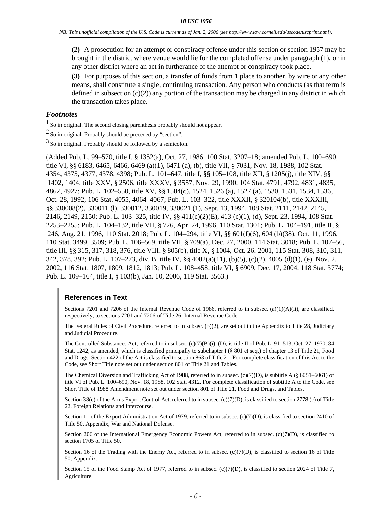**(2)** A prosecution for an attempt or conspiracy offense under this section or section 1957 may be brought in the district where venue would lie for the completed offense under paragraph (1), or in any other district where an act in furtherance of the attempt or conspiracy took place.

**(3)** For purposes of this section, a transfer of funds from 1 place to another, by wire or any other means, shall constitute a single, continuing transaction. Any person who conducts (as that term is defined in subsection  $(c)(2)$  any portion of the transaction may be charged in any district in which the transaction takes place.

# *Footnotes*

<sup>1</sup> So in original. The second closing parenthesis probably should not appear.

 $2$  So in original. Probably should be preceded by "section".

 $3$  So in original. Probably should be followed by a semicolon.

(Added Pub. L. 99–570, title I, § 1352(a), Oct. 27, 1986, 100 Stat. 3207–18; amended Pub. L. 100–690, title VI, §§ 6183, 6465, 6466, 6469 (a)(1), 6471 (a), (b), title VII, § 7031, Nov. 18, 1988, 102 Stat. 4354, 4375, 4377, 4378, 4398; Pub. L. 101–647, title I, §§ 105–108, title XII, § 1205(j), title XIV, §§ 1402, 1404, title XXV, § 2506, title XXXV, § 3557, Nov. 29, 1990, 104 Stat. 4791, 4792, 4831, 4835, 4862, 4927; Pub. L. 102–550, title XV, §§ 1504(c), 1524, 1526 (a), 1527 (a), 1530, 1531, 1534, 1536, Oct. 28, 1992, 106 Stat. 4055, 4064–4067; Pub. L. 103–322, title XXXII, § 320104(b), title XXXIII, §§ 330008(2), 330011 (l), 330012, 330019, 330021 (1), Sept. 13, 1994, 108 Stat. 2111, 2142, 2145, 2146, 2149, 2150; Pub. L. 103–325, title IV, §§ 411(c)(2)(E), 413 (c)(1), (d), Sept. 23, 1994, 108 Stat. 2253–2255; Pub. L. 104–132, title VII, § 726, Apr. 24, 1996, 110 Stat. 1301; Pub. L. 104–191, title II, § 246, Aug. 21, 1996, 110 Stat. 2018; Pub. L. 104–294, title VI, §§ 601(f)(6), 604 (b)(38), Oct. 11, 1996, 110 Stat. 3499, 3509; Pub. L. 106–569, title VII, § 709(a), Dec. 27, 2000, 114 Stat. 3018; Pub. L. 107–56, title III, §§ 315, 317, 318, 376, title VIII, § 805(b), title X, § 1004, Oct. 26, 2001, 115 Stat. 308, 310, 311, 342, 378, 392; Pub. L. 107–273, div. B, title IV, §§ 4002(a)(11), (b)(5), (c)(2), 4005 (d)(1), (e), Nov. 2, 2002, 116 Stat. 1807, 1809, 1812, 1813; Pub. L. 108–458, title VI, § 6909, Dec. 17, 2004, 118 Stat. 3774; Pub. L. 109–164, title I, § 103(b), Jan. 10, 2006, 119 Stat. 3563.)

# **References in Text**

Sections 7201 and 7206 of the Internal Revenue Code of 1986, referred to in subsec. (a)(1)(A)(ii), are classified, respectively, to sections 7201 and 7206 of Title 26, Internal Revenue Code.

The Federal Rules of Civil Procedure, referred to in subsec. (b)(2), are set out in the Appendix to Title 28, Judiciary and Judicial Procedure.

The Controlled Substances Act, referred to in subsec.  $(c)(7)(B)(i)$ ,  $(D)$ , is title II of Pub. L. 91–513, Oct. 27, 1970, 84 Stat. 1242, as amended, which is classified principally to subchapter I (§ 801 et seq.) of chapter 13 of Title 21, Food and Drugs. Section 422 of the Act is classified to section 863 of Title 21. For complete classification of this Act to the Code, see Short Title note set out under section 801 of Title 21 and Tables.

The Chemical Diversion and Trafficking Act of 1988, referred to in subsec. (c)(7)(D), is subtitle A (§ 6051–6061) of title VI of Pub. L. 100–690, Nov. 18, 1988, 102 Stat. 4312. For complete classification of subtitle A to the Code, see Short Title of 1988 Amendment note set out under section 801 of Title 21, Food and Drugs, and Tables.

Section 38(c) of the Arms Export Control Act, referred to in subsec. (c)(7)(D), is classified to section 2778 (c) of Title 22, Foreign Relations and Intercourse.

Section 11 of the Export Administration Act of 1979, referred to in subsec. (c)(7)(D), is classified to section 2410 of Title 50, Appendix, War and National Defense.

Section 206 of the International Emergency Economic Powers Act, referred to in subsec. (c)(7)(D), is classified to section 1705 of Title 50.

Section 16 of the Trading with the Enemy Act, referred to in subsec.  $(c)(7)(D)$ , is classified to section 16 of Title 50, Appendix.

Section 15 of the Food Stamp Act of 1977, referred to in subsec. (c)(7)(D), is classified to section 2024 of Title 7, Agriculture.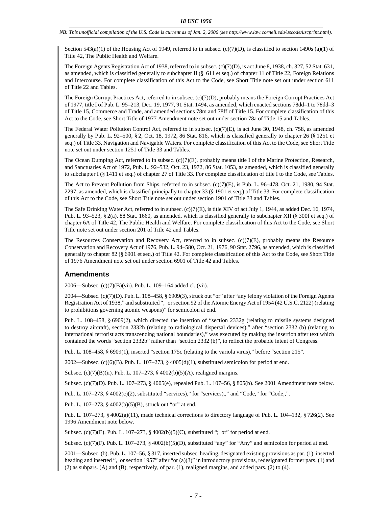Section 543(a)(1) of the Housing Act of 1949, referred to in subsec. (c)(7)(D), is classified to section 1490s (a)(1) of Title 42, The Public Health and Welfare.

The Foreign Agents Registration Act of 1938, referred to in subsec. (c)(7)(D), is act June 8, 1938, ch. 327, 52 Stat. 631, as amended, which is classified generally to subchapter II (§ 611 et seq.) of chapter 11 of Title 22, Foreign Relations and Intercourse. For complete classification of this Act to the Code, see Short Title note set out under section 611 of Title 22 and Tables.

The Foreign Corrupt Practices Act, referred to in subsec. (c)(7)(D), probably means the Foreign Corrupt Practices Act of 1977, title I of Pub. L. 95–213, Dec. 19, 1977, 91 Stat. 1494, as amended, which enacted sections 78dd–1 to 78dd–3 of Title 15, Commerce and Trade, and amended sections 78m and 78ff of Title 15. For complete classification of this Act to the Code, see Short Title of 1977 Amendment note set out under section 78a of Title 15 and Tables.

The Federal Water Pollution Control Act, referred to in subsec. (c)(7)(E), is act June 30, 1948, ch. 758, as amended generally by Pub. L. 92–500, § 2, Oct. 18, 1972, 86 Stat. 816, which is classified generally to chapter 26 (§ 1251 et seq.) of Title 33, Navigation and Navigable Waters. For complete classification of this Act to the Code, see Short Title note set out under section 1251 of Title 33 and Tables.

The Ocean Dumping Act, referred to in subsec.  $(c)(7)(E)$ , probably means title I of the Marine Protection, Research, and Sanctuaries Act of 1972, Pub. L. 92–532, Oct. 23, 1972, 86 Stat. 1053, as amended, which is classified generally to subchapter I (§ 1411 et seq.) of chapter 27 of Title 33. For complete classification of title I to the Code, see Tables.

The Act to Prevent Pollution from Ships, referred to in subsec. (c)(7)(E), is Pub. L. 96–478, Oct. 21, 1980, 94 Stat. 2297, as amended, which is classified principally to chapter 33 (§ 1901 et seq.) of Title 33. For complete classification of this Act to the Code, see Short Title note set out under section 1901 of Title 33 and Tables.

The Safe Drinking Water Act, referred to in subsec. (c)(7)(E), is title XIV of act July 1, 1944, as added Dec. 16, 1974, Pub. L. 93–523, § 2(a), 88 Stat. 1660, as amended, which is classified generally to subchapter XII (§ 300f et seq.) of chapter 6A of Title 42, The Public Health and Welfare. For complete classification of this Act to the Code, see Short Title note set out under section 201 of Title 42 and Tables.

The Resources Conservation and Recovery Act, referred to in subsec. (c)(7)(E), probably means the Resource Conservation and Recovery Act of 1976, Pub. L. 94–580, Oct. 21, 1976, 90 Stat. 2796, as amended, which is classified generally to chapter 82 (§ 6901 et seq.) of Title 42. For complete classification of this Act to the Code, see Short Title of 1976 Amendment note set out under section 6901 of Title 42 and Tables.

## **Amendments**

2006—Subsec. (c)(7)(B)(vii). Pub. L. 109–164 added cl. (vii).

2004—Subsec. (c)(7)(D). Pub. L. 108–458, § 6909(3), struck out "or" after "any felony violation of the Foreign Agents Registration Act of 1938," and substituted ", or section 92 of the Atomic Energy Act of 1954 (42 U.S.C. 2122) (relating to prohibitions governing atomic weapons)" for semicolon at end.

Pub. L. 108–458, § 6909(2), which directed the insertion of "section 2332g (relating to missile systems designed to destroy aircraft), section 2332h (relating to radiological dispersal devices)," after "section 2332 (b) (relating to international terrorist acts transcending national boundaries)," was executed by making the insertion after text which contained the words "section 2332b" rather than "section 2332 (b)", to reflect the probable intent of Congress.

Pub. L. 108–458, § 6909(1), inserted "section 175c (relating to the variola virus)," before "section 215".

2002—Subsec. (c)(6)(B). Pub. L. 107–273, § 4005(d)(1), substituted semicolon for period at end.

Subsec. (c)(7)(B)(ii). Pub. L. 107–273, § 4002(b)(5)(A), realigned margins.

Subsec. (c)(7)(D). Pub. L. 107–273, § 4005(e), repealed Pub. L. 107–56, § 805(b). See 2001 Amendment note below.

Pub. L.  $107-273$ ,  $§$   $4002(c)(2)$ , substituted "services)," for "services),," and "Code," for "Code,".

Pub. L. 107–273, § 4002(b)(5)(B), struck out "or" at end.

Pub. L. 107–273, § 4002(a)(11), made technical corrections to directory language of Pub. L. 104–132, § 726(2). See 1996 Amendment note below.

Subsec. (c)(7)(E). Pub. L. 107–273, § 4002(b)(5)(C), substituted "; or" for period at end.

Subsec. (c)(7)(F). Pub. L. 107-273, § 4002(b)(5)(D), substituted "any" for "Any" and semicolon for period at end.

2001—Subsec. (b). Pub. L. 107–56, § 317, inserted subsec. heading, designated existing provisions as par. (1), inserted heading and inserted ", or section 1957" after "or (a)(3)" in introductory provisions, redesignated former pars. (1) and (2) as subpars. (A) and (B), respectively, of par. (1), realigned margins, and added pars. (2) to (4).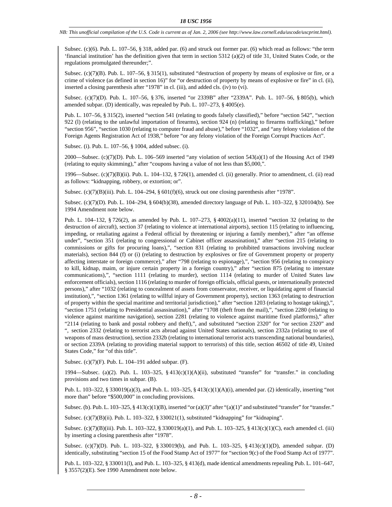Subsec. (c)(6). Pub. L. 107–56, § 318, added par. (6) and struck out former par. (6) which read as follows: "the term 'financial institution' has the definition given that term in section 5312 (a)(2) of title 31, United States Code, or the regulations promulgated thereunder;".

Subsec. (c)(7)(B). Pub. L. 107–56, § 315(1), substituted "destruction of property by means of explosive or fire, or a crime of violence (as defined in section 16)" for "or destruction of property by means of explosive or fire" in cl. (ii), inserted a closing parenthesis after "1978" in cl. (iii), and added cls. (iv) to (vi).

Subsec. (c)(7)(D). Pub. L. 107–56, § 376, inserted "or 2339B" after "2339A". Pub. L. 107–56, § 805(b), which amended subpar. (D) identically, was repealed by Pub. L. 107–273, § 4005(e).

Pub. L. 107–56, § 315(2), inserted "section 541 (relating to goods falsely classified)," before "section 542", "section 922 (l) (relating to the unlawful importation of firearms), section 924 (n) (relating to firearms trafficking)," before "section 956", "section 1030 (relating to computer fraud and abuse)," before "1032", and "any felony violation of the Foreign Agents Registration Act of 1938," before "or any felony violation of the Foreign Corrupt Practices Act".

Subsec. (i). Pub. L. 107–56, § 1004, added subsec. (i).

2000—Subsec. (c)(7)(D). Pub. L. 106–569 inserted "any violation of section 543(a)(1) of the Housing Act of 1949 (relating to equity skimming)," after "coupons having a value of not less than \$5,000,".

1996—Subsec.  $(c)(7)(B)(ii)$ . Pub. L. 104–132, § 726(1), amended cl. (ii) generally. Prior to amendment, cl. (ii) read as follows: "kidnapping, robbery, or extortion; or".

Subsec.  $(c)(7)(B)(iii)$ . Pub. L. 104–294, § 601(f)(6), struck out one closing parenthesis after "1978".

Subsec. (c)(7)(D). Pub. L. 104–294, § 604(b)(38), amended directory language of Pub. L. 103–322, § 320104(b). See 1994 Amendment note below.

Pub. L. 104–132, § 726(2), as amended by Pub. L. 107–273, § 4002(a)(11), inserted "section 32 (relating to the destruction of aircraft), section 37 (relating to violence at international airports), section 115 (relating to influencing, impeding, or retaliating against a Federal official by threatening or injuring a family member)," after "an offense under", "section 351 (relating to congressional or Cabinet officer assassination)," after "section 215 (relating to commissions or gifts for procuring loans),", "section 831 (relating to prohibited transactions involving nuclear materials), section 844 (f) or (i) (relating to destruction by explosives or fire of Government property or property affecting interstate or foreign commerce)," after "798 (relating to espionage),", "section 956 (relating to conspiracy to kill, kidnap, maim, or injure certain property in a foreign country)," after "section 875 (relating to interstate communications),", "section 1111 (relating to murder), section 1114 (relating to murder of United States law enforcement officials), section 1116 (relating to murder of foreign officials, official guests, or internationally protected persons)," after "1032 (relating to concealment of assets from conservator, receiver, or liquidating agent of financial institution),", "section 1361 (relating to willful injury of Government property), section 1363 (relating to destruction of property within the special maritime and territorial jurisdiction)," after "section 1203 (relating to hostage taking),", "section 1751 (relating to Presidential assassination)," after "1708 (theft from the mail),", "section 2280 (relating to violence against maritime navigation), section 2281 (relating to violence against maritime fixed platforms)," after "2114 (relating to bank and postal robbery and theft),", and substituted "section 2320" for "or section 2320" and ", section 2332 (relating to terrorist acts abroad against United States nationals), section 2332a (relating to use of weapons of mass destruction), section 2332b (relating to international terrorist acts transcending national boundaries), or section 2339A (relating to providing material support to terrorists) of this title, section 46502 of title 49, United States Code," for "of this title".

Subsec. (c)(7)(F). Pub. L. 104–191 added subpar. (F).

1994—Subsec. (a)(2). Pub. L. 103–325, § 413(c)(1)(A)(ii), substituted "transfer" for "transfer." in concluding provisions and two times in subpar. (B).

Pub. L. 103–322, § 330019(a)(3), and Pub. L. 103–325, § 413(c)(1)(A)(i), amended par. (2) identically, inserting "not more than" before "\$500,000" in concluding provisions.

Subsec. (b). Pub. L.  $103-325$ ,  $\S$  413(c)(1)(B), inserted "or (a)(3)" after "(a)(1)" and substituted "transfer" for "transfer."

Subsec. (c)(7)(B)(ii). Pub. L. 103–322, § 330021(1), substituted "kidnapping" for "kidnaping".

Subsec. (c)(7)(B)(iii). Pub. L. 103–322, § 330019(a)(1), and Pub. L. 103–325, § 413(c)(1)(C), each amended cl. (iii) by inserting a closing parenthesis after "1978".

Subsec. (c)(7)(D). Pub. L. 103–322, § 330019(b), and Pub. L. 103–325, § 413(c)(1)(D), amended subpar. (D) identically, substituting "section 15 of the Food Stamp Act of 1977" for "section 9(c) of the Food Stamp Act of 1977".

Pub. L. 103–322, § 330011(l), and Pub. L. 103–325, § 413(d), made identical amendments repealing Pub. L. 101–647, § 3557(2)(E). See 1990 Amendment note below.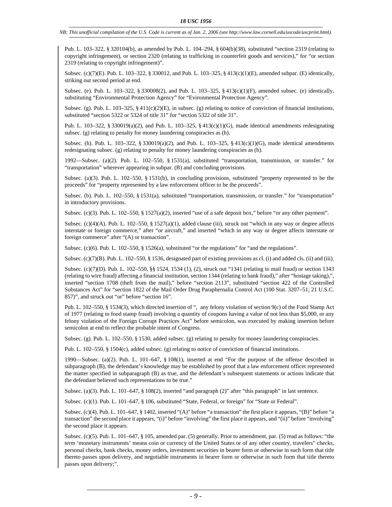Pub. L. 103–322, § 320104(b), as amended by Pub. L. 104–294, § 604(b)(38), substituted "section 2319 (relating to copyright infringement), or section 2320 (relating to trafficking in counterfeit goods and services)," for "or section 2319 (relating to copyright infringement)".

Subsec. (c)(7)(E). Pub. L. 103–322, § 330012, and Pub. L. 103–325, § 413(c)(1)(E), amended subpar. (E) identically, striking out second period at end.

Subsec. (e). Pub. L. 103–322, § 330008(2), and Pub. L. 103–325, § 413(c)(1)(F), amended subsec. (e) identically, substituting "Environmental Protection Agency" for "Evironmental Protection Agency".

Subsec. (g). Pub. L. 103–325, § 411(c)(2)(E), in subsec. (g) relating to notice of conviction of financial institutions, substituted "section 5322 or 5324 of title 31" for "section 5322 of title 31".

Pub. L. 103–322, § 330019(a)(2), and Pub. L. 103–325, § 413(c)(1)(G), made identical amendments redesignating subsec. (g) relating to penalty for money laundering conspiracies as (h).

Subsec. (h). Pub. L. 103–322, § 330019(a)(2), and Pub. L. 103–325, § 413(c)(1)(G), made identical amendments redesignating subsec. (g) relating to penalty for money laundering conspiracies as (h).

1992—Subsec. (a)(2). Pub. L. 102–550, § 1531(a), substituted "transportation, transmission, or transfer." for "transportation" wherever appearing in subpar. (B) and concluding provisions.

Subsec. (a)(3). Pub. L. 102–550, § 1531(b), in concluding provisions, substituted "property represented to be the proceeds" for "property represented by a law enforcement officer to be the proceeds".

Subsec. (b). Pub. L. 102–550, § 1531(a), substituted "transportation, transmission, or transfer." for "transportation" in introductory provisions.

Subsec. (c)(3). Pub. L. 102–550, § 1527(a)(2), inserted "use of a safe deposit box," before "or any other payment".

Subsec. (c)(4)(A). Pub. L. 102–550, § 1527(a)(1), added clause (iii), struck out "which in any way or degree affects interstate or foreign commerce," after "or aircraft," and inserted "which in any way or degree affects interstate or foreign commerce" after "(A) or transaction".

Subsec. (c)(6). Pub. L. 102–550, § 1526(a), substituted "or the regulations" for "and the regulations".

Subsec. (c)(7)(B). Pub. L. 102–550, § 1536, designated part of existing provisions as cl. (i) and added cls. (ii) and (iii).

Subsec. (c)(7)(D). Pub. L. 102–550, §§ 1524, 1534 (1), (2), struck out "1341 (relating to mail fraud) or section 1343 (relating to wire fraud) affecting a financial institution, section 1344 (relating to bank fraud)," after "hostage taking),", inserted "section 1708 (theft from the mail)," before "section 2113", substituted "section 422 of the Controlled Substances Act" for "section 1822 of the Mail Order Drug Paraphernalia Control Act (100 Stat. 3207–51; 21 U.S.C. 857)", and struck out "or" before "section 16".

Pub. L. 102–550, § 1534(3), which directed insertion of ", any felony violation of section 9(c) of the Food Stamp Act of 1977 (relating to food stamp fraud) involving a quantity of coupons having a value of not less than \$5,000, or any felony violation of the Foreign Corrupt Practices Act" before semicolon, was executed by making insertion before semicolon at end to reflect the probable intent of Congress.

Subsec. (g). Pub. L. 102–550, § 1530, added subsec. (g) relating to penalty for money laundering conspiracies.

Pub. L. 102–550, § 1504(c), added subsec. (g) relating to notice of conviction of financial institutions.

1990—Subsec. (a)(2). Pub. L. 101–647, § 108(1), inserted at end "For the purpose of the offense described in subparagraph (B), the defendant's knowledge may be established by proof that a law enforcement officer represented the matter specified in subparagraph (B) as true, and the defendant's subsequent statements or actions indicate that the defendant believed such representations to be true."

Subsec. (a)(3). Pub. L. 101–647, § 108(2), inserted "and paragraph (2)" after "this paragraph" in last sentence.

Subsec. (c)(1). Pub. L. 101–647, § 106, substituted "State, Federal, or foreign" for "State or Federal".

Subsec. (c)(4). Pub. L. 101–647, § 1402, inserted "(A)" before "a transaction" the first place it appears, "(B)" before "a transaction" the second place it appears, "(i)" before "involving" the first place it appears, and "(ii)" before "involving" the second place it appears.

Subsec. (c)(5). Pub. L. 101–647, § 105, amended par. (5) generally. Prior to amendment, par. (5) read as follows: "the term 'monetary instruments' means coin or currency of the United States or of any other country, travelers" checks, personal checks, bank checks, money orders, investment securities in bearer form or otherwise in such form that title thereto passes upon delivery, and negotiable instruments in bearer form or otherwise in such form that title thereto passes upon delivery;".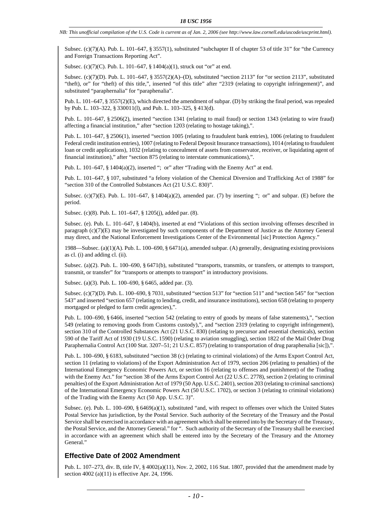Subsec. (c)(7)(A). Pub. L. 101–647, § 3557(1), substituted "subchapter II of chapter 53 of title 31" for "the Currency and Foreign Transactions Reporting Act".

Subsec. (c)(7)(C). Pub. L. 101–647, § 1404(a)(1), struck out "or" at end.

Subsec. (c)(7)(D). Pub. L. 101–647, § 3557(2)(A)–(D), substituted "section 2113" for "or section 2113", substituted "theft), or" for "theft) of this title,", inserted "of this title" after "2319 (relating to copyright infringement)", and substituted "paraphernalia" for "paraphenalia".

Pub. L. 101–647, § 3557(2)(E), which directed the amendment of subpar. (D) by striking the final period, was repealed by Pub. L. 103–322, § 330011(l), and Pub. L. 103–325, § 413(d).

Pub. L. 101–647, § 2506(2), inserted "section 1341 (relating to mail fraud) or section 1343 (relating to wire fraud) affecting a financial institution," after "section 1203 (relating to hostage taking),".

Pub. L. 101–647, § 2506(1), inserted "section 1005 (relating to fraudulent bank entries), 1006 (relating to fraudulent Federal credit institution entries), 1007 (relating to Federal Deposit Insurance transactions), 1014 (relating to fraudulent loan or credit applications), 1032 (relating to concealment of assets from conservator, receiver, or liquidating agent of financial institution)," after "section 875 (relating to interstate communications),".

Pub. L.  $101-647$ ,  $\S$   $1404(a)(2)$ , inserted "; or" after "Trading with the Enemy Act" at end.

Pub. L. 101–647, § 107, substituted "a felony violation of the Chemical Diversion and Trafficking Act of 1988" for "section 310 of the Controlled Substances Act (21 U.S.C. 830)".

Subsec. (c)(7)(E). Pub. L. 101–647, § 1404(a)(2), amended par. (7) by inserting "; or" and subpar. (E) before the period.

Subsec. (c)(8). Pub. L. 101–647, § 1205(j), added par. (8).

Subsec. (e). Pub. L. 101–647, § 1404(b), inserted at end "Violations of this section involving offenses described in paragraph (c)(7)(E) may be investigated by such components of the Department of Justice as the Attorney General may direct, and the National Enforcement Investigations Center of the Evironmental [sic] Protection Agency."

1988—Subsec. (a)(1)(A). Pub. L. 100–690, § 6471(a), amended subpar. (A) generally, designating existing provisions as cl. (i) and adding cl. (ii).

Subsec. (a)(2). Pub. L. 100–690, § 6471(b), substituted "transports, transmits, or transfers, or attempts to transport, transmit, or transfer" for "transports or attempts to transport" in introductory provisions.

Subsec. (a)(3). Pub. L. 100–690, § 6465, added par. (3).

Subsec. (c)(7)(D). Pub. L. 100–690, § 7031, substituted "section 513" for "section 511" and "section 545" for "section 543" and inserted "section 657 (relating to lending, credit, and insurance institutions), section 658 (relating to property mortgaged or pledged to farm credit agencies),".

Pub. L. 100–690, § 6466, inserted "section 542 (relating to entry of goods by means of false statements),", "section 549 (relating to removing goods from Customs custody),", and "section 2319 (relating to copyright infringement), section 310 of the Controlled Substances Act (21 U.S.C. 830) (relating to precursor and essential chemicals), section 590 of the Tariff Act of 1930 (19 U.S.C. 1590) (relating to aviation smuggling), section 1822 of the Mail Order Drug Paraphernalia Control Act (100 Stat. 3207-51; 21 U.S.C. 857) (relating to transportation of drug paraphenalia [sic]),".

Pub. L. 100–690, § 6183, substituted "section 38 (c) (relating to criminal violations) of the Arms Export Control Act, section 11 (relating to violations) of the Export Administration Act of 1979, section 206 (relating to penalties) of the International Emergency Economic Powers Act, or section 16 (relating to offenses and punishment) of the Trading with the Enemy Act." for "section 38 of the Arms Export Control Act (22 U.S.C. 2778), section 2 (relating to criminal penalties) of the Export Administration Act of 1979 (50 App. U.S.C. 2401), section 203 (relating to criminal sanctions) of the International Emergency Economic Powers Act (50 U.S.C. 1702), or section 3 (relating to criminal violations) of the Trading with the Enemy Act (50 App. U.S.C. 3)".

Subsec. (e). Pub. L. 100–690, § 6469(a)(1), substituted "and, with respect to offenses over which the United States Postal Service has jurisdiction, by the Postal Service. Such authority of the Secretary of the Treasury and the Postal Service shall be exercised in accordance with an agreement which shall be entered into by the Secretary of the Treasury, the Postal Service, and the Attorney General." for ". Such authority of the Secretary of the Treasury shall be exercised in accordance with an agreement which shall be entered into by the Secretary of the Treasury and the Attorney General."

## **Effective Date of 2002 Amendment**

Pub. L. 107–273, div. B, title IV, § 4002(a)(11), Nov. 2, 2002, 116 Stat. 1807, provided that the amendment made by section 4002 (a)(11) is effective Apr. 24, 1996.